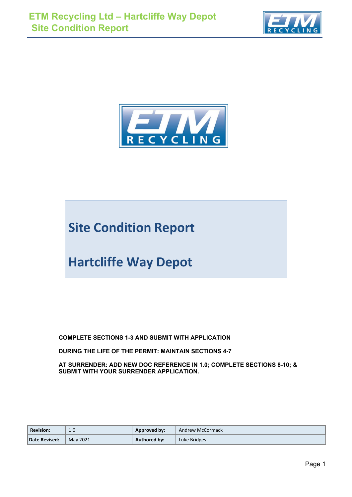



# **Site Condition Report**

# **Hartcliffe Way Depot**

**COMPLETE SECTIONS 1-3 AND SUBMIT WITH APPLICATION** 

**DURING THE LIFE OF THE PERMIT: MAINTAIN SECTIONS 4-7** 

**AT SURRENDER: ADD NEW DOC REFERENCE IN 1.0; COMPLETE SECTIONS 8-10; & SUBMIT WITH YOUR SURRENDER APPLICATION.**

| <b>Revision:</b> | 1.0      | Approved by:        | Andrew McCormack |
|------------------|----------|---------------------|------------------|
| Date Revised:    | May 2021 | <b>Authored by:</b> | Luke Bridges     |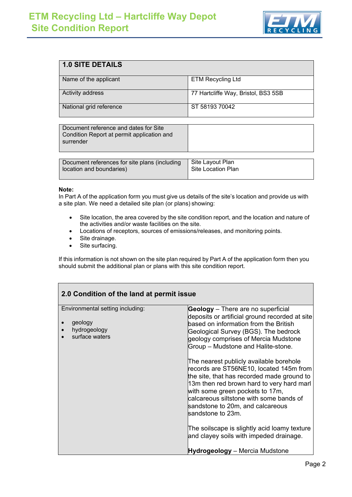

| 1.0 SITE DETAILS        |                                     |
|-------------------------|-------------------------------------|
| Name of the applicant   | <b>ETM Recycling Ltd</b>            |
| Activity address        | 77 Hartcliffe Way, Bristol, BS3 5SB |
| National grid reference | ST 58193 70042                      |

| Document reference and dates for Site<br>Condition Report at permit application and<br>surrender |  |
|--------------------------------------------------------------------------------------------------|--|
|--------------------------------------------------------------------------------------------------|--|

| Document references for site plans (including | Site Layout Plan   |
|-----------------------------------------------|--------------------|
| l location and boundaries)                    | Site Location Plan |
|                                               |                    |

#### **Note:**

In Part A of the application form you must give us details of the site's location and provide us with a site plan. We need a detailed site plan (or plans) showing:

- Site location, the area covered by the site condition report, and the location and nature of the activities and/or waste facilities on the site.
- Locations of receptors, sources of emissions/releases, and monitoring points.
- Site drainage.
- Site surfacing.

If this information is not shown on the site plan required by Part A of the application form then you should submit the additional plan or plans with this site condition report.

| 2.0 Condition of the land at permit issue                                     |                                                                                                                                                                                                                                                                                                                      |  |  |  |
|-------------------------------------------------------------------------------|----------------------------------------------------------------------------------------------------------------------------------------------------------------------------------------------------------------------------------------------------------------------------------------------------------------------|--|--|--|
| Environmental setting including:<br>geology<br>hydrogeology<br>surface waters | <b>Geology</b> - There are no superficial<br>deposits or artificial ground recorded at site<br>based on information from the British<br>Geological Survey (BGS). The bedrock<br>geology comprises of Mercia Mudstone<br>Group - Mudstone and Halite-stone.                                                           |  |  |  |
|                                                                               | The nearest publicly available borehole<br>records are ST56NE10, located 145m from<br>the site, that has recorded made ground to<br>13m then red brown hard to very hard marl<br>with some green pockets to 17m,<br>calcareous siltstone with some bands of<br>sandstone to 20m, and calcareous<br>sandstone to 23m. |  |  |  |
|                                                                               | The soilscape is slightly acid loamy texture<br>and clayey soils with impeded drainage.                                                                                                                                                                                                                              |  |  |  |
|                                                                               | Hydrogeology – Mercia Mudstone                                                                                                                                                                                                                                                                                       |  |  |  |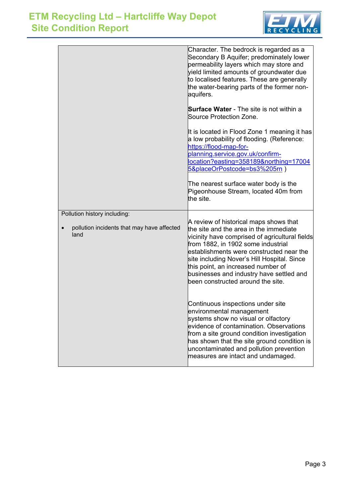

|                                                    | Character. The bedrock is regarded as a<br>Secondary B Aquifer; predominately lower<br>permeability layers which may store and<br>yield limited amounts of groundwater due<br>to localised features. These are generally<br>the water-bearing parts of the former non-<br>aquifers.                                                              |
|----------------------------------------------------|--------------------------------------------------------------------------------------------------------------------------------------------------------------------------------------------------------------------------------------------------------------------------------------------------------------------------------------------------|
|                                                    | Surface Water - The site is not within a<br>Source Protection Zone.                                                                                                                                                                                                                                                                              |
|                                                    | It is located in Flood Zone 1 meaning it has<br>a low probability of flooding. (Reference:<br>https://flood-map-for-<br>planning.service.gov.uk/confirm-<br>location?easting=358189&northing=17004<br>5&placeOrPostcode=bs3%205rn)<br>The nearest surface water body is the<br>Pigeonhouse Stream, located 40m from                              |
|                                                    | the site.                                                                                                                                                                                                                                                                                                                                        |
| Pollution history including:                       | A review of historical maps shows that                                                                                                                                                                                                                                                                                                           |
| pollution incidents that may have affected<br>land | the site and the area in the immediate<br>vicinity have comprised of agricultural fields<br>from 1882, in 1902 some industrial<br>establishments were constructed near the<br>site including Nover's Hill Hospital. Since<br>this point, an increased number of<br>businesses and industry have settled and<br>been constructed around the site. |
|                                                    | Continuous inspections under site<br>environmental management<br>systems show no visual or olfactory<br>evidence of contamination. Observations<br>from a site ground condition investigation<br>has shown that the site ground condition is<br>uncontaminated and pollution prevention<br>measures are intact and undamaged.                    |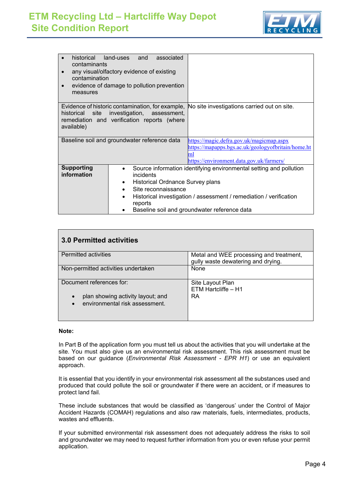

| contaminants<br>contamination<br>$\bullet$<br>measures | historical land-uses and<br>associated<br>any visual/olfactory evidence of existing<br>evidence of damage to pollution prevention |                                                                                                                                                                                          |
|--------------------------------------------------------|-----------------------------------------------------------------------------------------------------------------------------------|------------------------------------------------------------------------------------------------------------------------------------------------------------------------------------------|
| historical site<br>available)                          | investigation, assessment,<br>remediation and verification reports (where                                                         | Evidence of historic contamination, for example, No site investigations carried out on site.                                                                                             |
|                                                        | Baseline soil and groundwater reference data                                                                                      | https://magic.defra.gov.uk/magicmap.aspx<br>https://mapapps.bgs.ac.uk/geologyofbritain/home.ht<br>m<br>https://environment.data.gov.uk/farmers/                                          |
| <b>Supporting</b><br>information                       | incidents<br>Historical Ordnance Survey plans<br>$\bullet$<br>Site reconnaissance<br>$\bullet$<br>٠<br>reports<br>٠               | Source information identifying environmental setting and pollution<br>Historical investigation / assessment / remediation / verification<br>Baseline soil and groundwater reference data |

## **3.0 Permitted activities**

| <b>Permitted activities</b>                    | Metal and WEE processing and treatment, |
|------------------------------------------------|-----------------------------------------|
|                                                | gully waste dewatering and drying.      |
| Non-permitted activities undertaken            | None                                    |
| Document references for:                       | Site Layout Plan                        |
|                                                | ETM Hartcliffe - H1                     |
| plan showing activity layout; and<br>$\bullet$ | RA                                      |
| environmental risk assessment.                 |                                         |
|                                                |                                         |
|                                                |                                         |

#### **Note:**

In Part B of the application form you must tell us about the activities that you will undertake at the site. You must also give us an environmental risk assessment. This risk assessment must be based on our guidance (*Environmental Risk Assessment - EPR H1*) or use an equivalent approach.

It is essential that you identify in your environmental risk assessment all the substances used and produced that could pollute the soil or groundwater if there were an accident, or if measures to protect land fail.

These include substances that would be classified as 'dangerous' under the Control of Major Accident Hazards (COMAH) regulations and also raw materials, fuels, intermediates, products, wastes and effluents.

If your submitted environmental risk assessment does not adequately address the risks to soil and groundwater we may need to request further information from you or even refuse your permit application.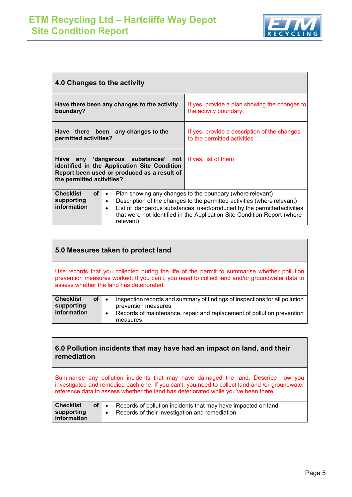

| 4.0 Changes to the activity                                |                                                                                                                                    |                                                                                                                                                                                                                                                                                              |  |  |
|------------------------------------------------------------|------------------------------------------------------------------------------------------------------------------------------------|----------------------------------------------------------------------------------------------------------------------------------------------------------------------------------------------------------------------------------------------------------------------------------------------|--|--|
| boundary?                                                  | Have there been any changes to the activity                                                                                        | If yes, provide a plan showing the changes to<br>the activity boundary.                                                                                                                                                                                                                      |  |  |
| permitted activities?                                      | Have there been any changes to the                                                                                                 | If yes, provide a description of the changes<br>to the permitted activities                                                                                                                                                                                                                  |  |  |
| the permitted activities?                                  | Have any 'dangerous substances' not<br>identified in the Application Site Condition<br>Report been used or produced as a result of | If yes, list of them                                                                                                                                                                                                                                                                         |  |  |
| <b>Checklist</b><br><b>of</b><br>supporting<br>information | $\bullet$<br>$\bullet$<br>$\bullet$<br>relevant)                                                                                   | Plan showing any changes to the boundary (where relevant)<br>Description of the changes to the permitted activities (where relevant)<br>List of 'dangerous substances' used/produced by the permitted activities<br>that were not identified in the Application Site Condition Report (where |  |  |

| 5.0 Measures taken to protect land                         |                                                                                                                                                                                                                                           |  |  |  |
|------------------------------------------------------------|-------------------------------------------------------------------------------------------------------------------------------------------------------------------------------------------------------------------------------------------|--|--|--|
|                                                            | Use records that you collected during the life of the permit to summarise whether pollution<br>prevention measures worked. If you can't, you need to collect land and/or groundwater data to<br>assess whether the land has deteriorated. |  |  |  |
| <b>Checklist</b><br><b>of</b><br>supporting<br>information | Inspection records and summary of findings of inspections for all pollution<br>$\bullet$<br>prevention measures<br>Records of maintenance, repair and replacement of pollution prevention<br>$\bullet$<br>measures                        |  |  |  |

### **6.0 Pollution incidents that may have had an impact on land, and their remediation**

Summarise any pollution incidents that may have damaged the land. Describe how you investigated and remedied each one. If you can't, you need to collect land and /or groundwater reference data to assess whether the land has deteriorated while you've been there.

| <b>Checklist</b>          | $of \cdot$ | Records of pollution incidents that may have impacted on land |
|---------------------------|------------|---------------------------------------------------------------|
| supporting<br>information |            | Records of their investigation and remediation                |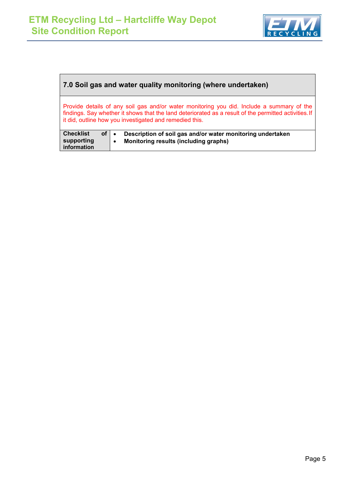

### **7.0 Soil gas and water quality monitoring (where undertaken)**

Provide details of any soil gas and/or water monitoring you did. Include a summary of the findings. Say whether it shows that the land deteriorated as a result of the permitted activities.If it did, outline how you investigated and remedied this.

| <b>Checklist</b><br>supporting<br>information | $of \bullet$ | Description of soil gas and/or water monitoring undertaken<br>Monitoring results (including graphs) |
|-----------------------------------------------|--------------|-----------------------------------------------------------------------------------------------------|
|-----------------------------------------------|--------------|-----------------------------------------------------------------------------------------------------|